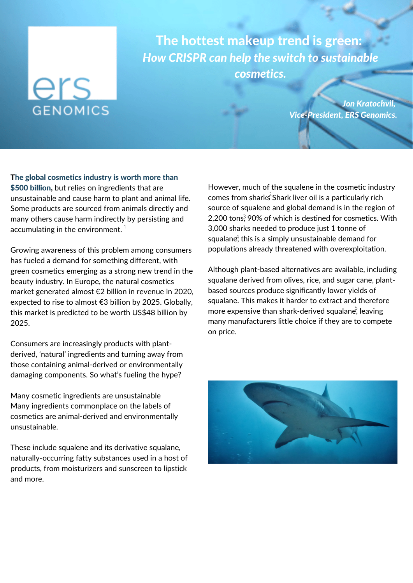## ers **GENOMICS**

Cordale High School

**C The Cordale Courier** The hottest makeup trend is green: *How CRISPR can help the switch to sustainable cosmetics.*

> *Jon Kratochvil, Vice-President, ERS Genomics.*

The global cosmetics industry is worth more than \$500 billion, but relies on [ingredients](https://www.statista.com/statistics/585522/global-value-cosmetics-market/) that are unsustainable and cause harm to plant and animal life. Some products are sourced from animals directly and many others cause harm indirectly by persisting and accumulating in the environment.  $^\mathrm{1}$ 

Growing awareness of this problem among consumers has fueled a demand for something different, with green cosmetics emerging as a strong new trend in the beauty industry. In Europe, the natural cosmetics market generated [almost](https://www.statista.com/forecasts/1221138/europe-revenue-natural-cosmetics-market) €2 billion in revenue in 2020, expected to rise to almost €3 billion by 2025. Globally, this market is predicted to be worth [US\\$48](https://www.bloomberg.com/press-releases/2019-06-11/natural-cosmetics-market-worth-48-04-billion-by-2025-cagr-5-01-grand-view-research-inc) billion by 2025.

Consumers are increasingly products with plantderived, 'natural' ingredients and turning away from those containing animal-derived or environmentally damaging components. So what's fueling the hype?

Many cosmetic ingredients are unsustainable Many ingredients commonplace on the labels of cosmetics are animal-derived and environmentally unsustainable.

These include squalene and its derivative squalane, naturally-occurring fatty substances used in a host of products, from moisturizers and sunscreen to lipstick and more.

However, much of the squalene in the cosmetic industry comes from sharks $^2$ Shark liver oil is a particularly rich source of squalene and global demand is in the region of 2,200 tons<sup>3</sup>, 90% of which is destined for cosmetics. With 3,000 sharks needed to produce just 1 tonne of squalan $\epsilon_{\text{\tiny T}}^4$  this is a simply unsustainable demand for populations already threatened with overexploitation.

Although plant-based alternatives are available, including squalane derived from olives, rice, and sugar cane, plantbased sources produce significantly lower yields of squalane. This makes it harder to extract and therefore more expensive than shark-derived squalane, leaving many manufacturers little choice if they are to compete on price.

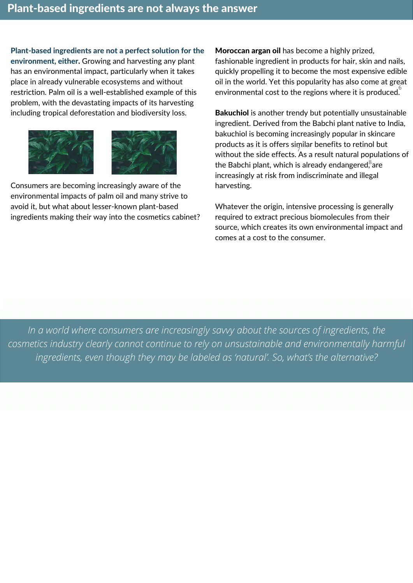Plant-based ingredients are not a perfect solution for the environment, either. Growing and harvesting any plant has an environmental impact, particularly when it takes place in already vulnerable ecosystems and without restriction. Palm oil is a well-established example of this problem, with the devastating impacts of its harvesting including tropical deforestation and biodiversity loss.





Consumers are becoming [increasingly](https://yougov.co.uk/topics/politics/articles-reports/2019/01/04/journal-update-exploring-sustainable-palm-oil-ecol) aware of the environmental impacts of palm oil and many strive to avoid it, but what about lesser-known plant-based ingredients making their way into the cosmetics cabinet? Moroccan argan oil has become a highly prized, fashionable ingredient in products for hair, skin and nails, quickly propelling it to become the most expensive edible oil in the world. Yet this popularity has also come at great environmental cost to the regions where it is produced. $\overset{6}{\cdot}$ 

Bakuchiol is another trendy but potentially unsustainable ingredient. Derived from the Babchi plant native to India, bakuchiol is becoming increasingly popular in skincare products as it is offers similar benefits to retinol but  $\cdot$  without the side effects. As a result natural populations of the Babchi plant, which is already endangered $\mathrm{^8}$ are increasingly at risk from indiscriminate and illegal harvesting.

Whatever the origin, intensive processing is generally required to extract precious biomolecules from their source, which creates its own environmental impact and comes at a cost to the consumer.

*In a world where consumers are increasingly savvy about the sources of ingredients, the cosmetics industry clearly cannot continue to rely on unsustainable and environmentally harmful ingredients, even though they may be labeled as 'natural'. So, what's the alternative?*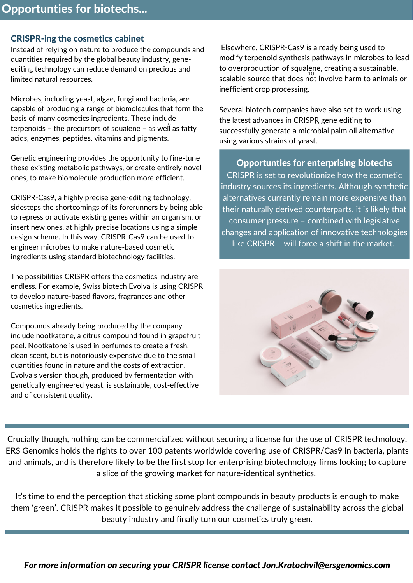## CRISPR-ing the cosmetics cabinet

Instead of relying on nature to produce the compounds and quantities required by the global beauty industry, geneediting technology can reduce demand on precious and limited natural resources.

Microbes, including yeast, algae, fungi and bacteria, are capable of producing a range of biomolecules that form the basis of many cosmetics ingredients. These include terpenoids – the precursors of squalene – as well as fatty acids, enzymes, peptides, vitamins and pigments.

Genetic engineering provides the opportunity to fine-tune these existing metabolic pathways, or create entirely novel ones, to make biomolecule production more efficient.

CRISPR-Cas9, a highly precise gene-editing technology, sidesteps the shortcomings of its forerunners by being able to repress or activate existing genes within an organism, or insert new ones, at highly precise locations using a simple design scheme. In this way, CRISPR-Cas9 can be used to engineer microbes to make nature-based cosmetic ingredients using standard biotechnology facilities.

The possibilities CRISPR offers the cosmetics industry are endless. For example, Swiss biotech [Evolva](https://evolva.com/business-segment/health-ingredients/) is using CRISPR to develop nature-based flavors, fragrances and other cosmetics ingredients.

Compounds already being produced by the company include nootkatone, a citrus compound found in grapefruit peel. Nootkatone is used in perfumes to create a fresh, clean scent, but is notoriously expensive due to the small quantities found in nature and the costs of extraction. Evolva's version though, produced by fermentation with genetically engineered yeast, is sustainable, cost-effective and of consistent quality.

Elsewhere, CRISPR-Cas9 is already being used to modify terpenoid synthesis pathways in microbes to lead to overproduction of squalene, creating a sustainable, scalable source that does not involve harm to animals or inefficient crop processing.

Several biotech companies have also set to work using the latest advances in CRISPR gene editing to  $\frac{1}{10}$  successfully generate a microbial palm oil alternative using various strains of yeast.

## Opportunties for enterprising biotechs

CRISPR is set to revolutionize how the cosmetic industry sources its ingredients. Although synthetic alternatives currently remain more expensive than their naturally derived counterparts, it is likely that consumer pressure – combined with legislative changes and application of innovative technologies like CRISPR – will force a shift in the market.



Crucially though, nothing can be commercialized without securing a license for the use of CRISPR technology. ERS Genomics holds the rights to over 100 patents worldwide covering use of CRISPR/Cas9 in bacteria, plants and animals, and is therefore likely to be the first stop for enterprising biotechnology firms looking to capture a slice of the growing market for nature-identical synthetics.

It's time to end the perception that sticking some plant compounds in beauty products is enough to make them 'green'. CRISPR makes it possible to genuinely address the challenge of sustainability across the global beauty industry and finally turn our cosmetics truly green.